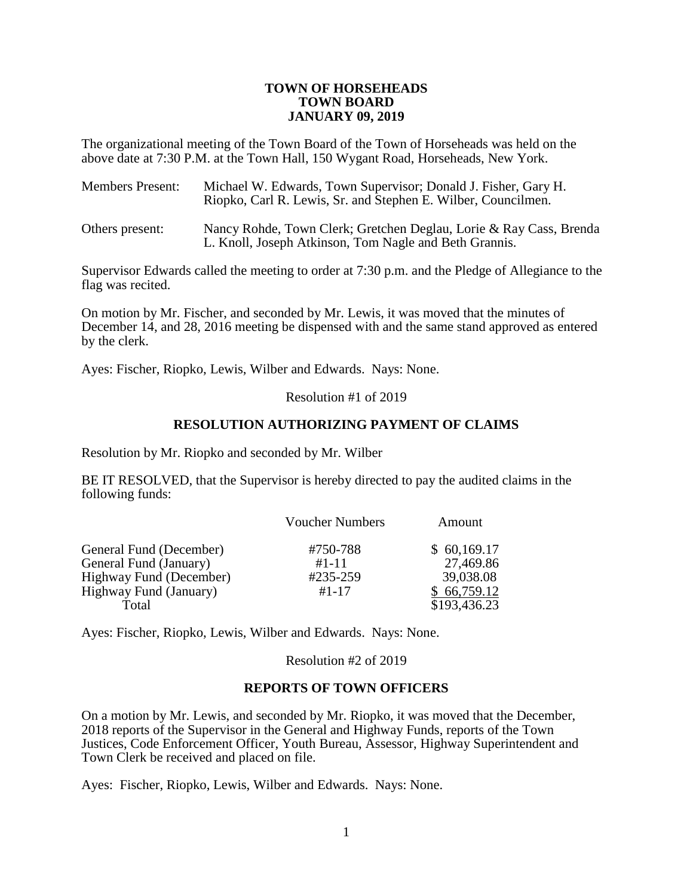## **TOWN OF HORSEHEADS TOWN BOARD JANUARY 09, 2019**

The organizational meeting of the Town Board of the Town of Horseheads was held on the above date at 7:30 P.M. at the Town Hall, 150 Wygant Road, Horseheads, New York.

| <b>Members Present:</b> | Michael W. Edwards, Town Supervisor; Donald J. Fisher, Gary H.<br>Riopko, Carl R. Lewis, Sr. and Stephen E. Wilber, Councilmen. |
|-------------------------|---------------------------------------------------------------------------------------------------------------------------------|
| Others present:         | Nancy Rohde, Town Clerk; Gretchen Deglau, Lorie & Ray Cass, Brenda                                                              |

L. Knoll, Joseph Atkinson, Tom Nagle and Beth Grannis.

Supervisor Edwards called the meeting to order at 7:30 p.m. and the Pledge of Allegiance to the flag was recited.

On motion by Mr. Fischer, and seconded by Mr. Lewis, it was moved that the minutes of December 14, and 28, 2016 meeting be dispensed with and the same stand approved as entered by the clerk.

Ayes: Fischer, Riopko, Lewis, Wilber and Edwards. Nays: None.

Resolution #1 of 2019

## **RESOLUTION AUTHORIZING PAYMENT OF CLAIMS**

Resolution by Mr. Riopko and seconded by Mr. Wilber

BE IT RESOLVED, that the Supervisor is hereby directed to pay the audited claims in the following funds:

|                         | <b>Voucher Numbers</b> | Amount       |
|-------------------------|------------------------|--------------|
| General Fund (December) | #750-788               | \$60,169.17  |
| General Fund (January)  | $#1 - 11$              | 27,469.86    |
| Highway Fund (December) | #235-259               | 39,038.08    |
| Highway Fund (January)  | $#1 - 17$              | \$66,759.12  |
| Total                   |                        | \$193,436.23 |

Ayes: Fischer, Riopko, Lewis, Wilber and Edwards. Nays: None.

Resolution #2 of 2019

## **REPORTS OF TOWN OFFICERS**

On a motion by Mr. Lewis, and seconded by Mr. Riopko, it was moved that the December, 2018 reports of the Supervisor in the General and Highway Funds, reports of the Town Justices, Code Enforcement Officer, Youth Bureau, Assessor, Highway Superintendent and Town Clerk be received and placed on file.

Ayes: Fischer, Riopko, Lewis, Wilber and Edwards. Nays: None.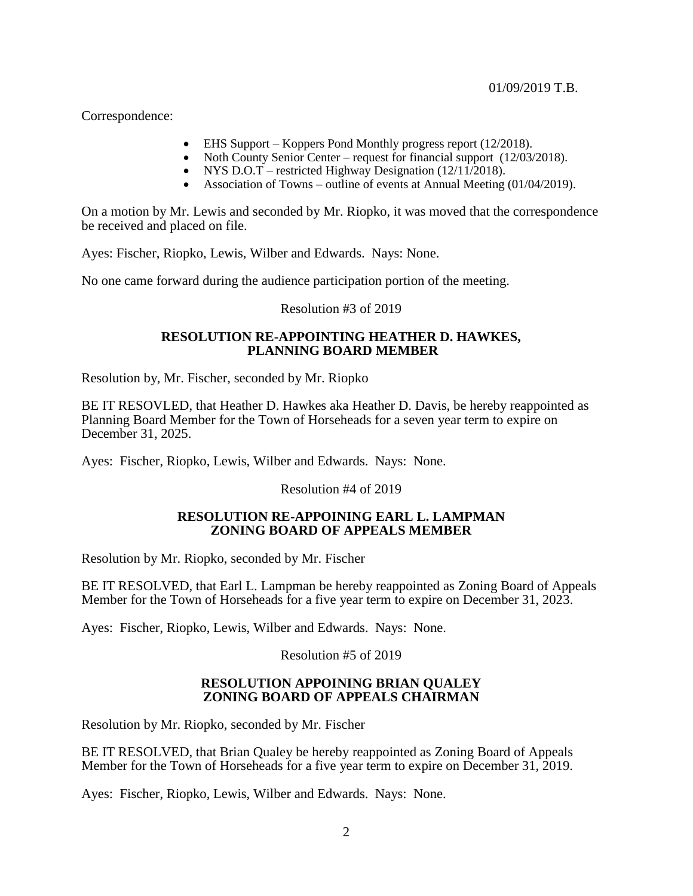Correspondence:

- EHS Support Koppers Pond Monthly progress report (12/2018).
- Noth County Senior Center request for financial support (12/03/2018).
- NYS D.O.T restricted Highway Designation  $(12/11/2018)$ .
- Association of Towns outline of events at Annual Meeting (01/04/2019).

On a motion by Mr. Lewis and seconded by Mr. Riopko, it was moved that the correspondence be received and placed on file.

Ayes: Fischer, Riopko, Lewis, Wilber and Edwards. Nays: None.

No one came forward during the audience participation portion of the meeting.

## Resolution #3 of 2019

## **RESOLUTION RE-APPOINTING HEATHER D. HAWKES, PLANNING BOARD MEMBER**

Resolution by, Mr. Fischer, seconded by Mr. Riopko

BE IT RESOVLED, that Heather D. Hawkes aka Heather D. Davis, be hereby reappointed as Planning Board Member for the Town of Horseheads for a seven year term to expire on December 31, 2025.

Ayes: Fischer, Riopko, Lewis, Wilber and Edwards. Nays: None.

Resolution #4 of 2019

# **RESOLUTION RE-APPOINING EARL L. LAMPMAN ZONING BOARD OF APPEALS MEMBER**

Resolution by Mr. Riopko, seconded by Mr. Fischer

BE IT RESOLVED, that Earl L. Lampman be hereby reappointed as Zoning Board of Appeals Member for the Town of Horseheads for a five year term to expire on December 31, 2023.

Ayes: Fischer, Riopko, Lewis, Wilber and Edwards. Nays: None.

Resolution #5 of 2019

# **RESOLUTION APPOINING BRIAN QUALEY ZONING BOARD OF APPEALS CHAIRMAN**

Resolution by Mr. Riopko, seconded by Mr. Fischer

BE IT RESOLVED, that Brian Qualey be hereby reappointed as Zoning Board of Appeals Member for the Town of Horseheads for a five year term to expire on December 31, 2019.

Ayes: Fischer, Riopko, Lewis, Wilber and Edwards. Nays: None.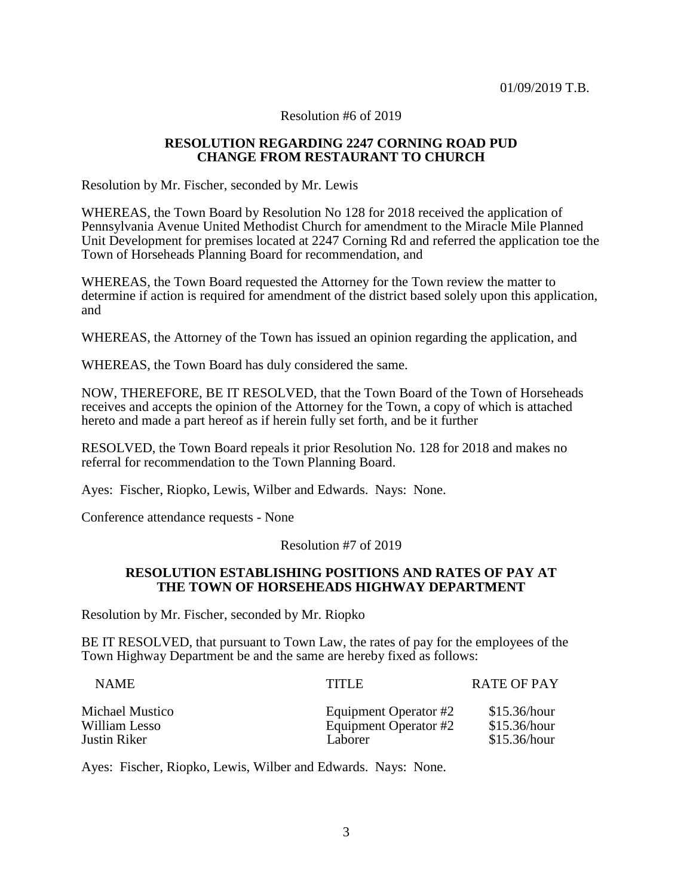Resolution #6 of 2019

## **RESOLUTION REGARDING 2247 CORNING ROAD PUD CHANGE FROM RESTAURANT TO CHURCH**

Resolution by Mr. Fischer, seconded by Mr. Lewis

WHEREAS, the Town Board by Resolution No 128 for 2018 received the application of Pennsylvania Avenue United Methodist Church for amendment to the Miracle Mile Planned Unit Development for premises located at 2247 Corning Rd and referred the application toe the Town of Horseheads Planning Board for recommendation, and

WHEREAS, the Town Board requested the Attorney for the Town review the matter to determine if action is required for amendment of the district based solely upon this application, and

WHEREAS, the Attorney of the Town has issued an opinion regarding the application, and

WHEREAS, the Town Board has duly considered the same.

NOW, THEREFORE, BE IT RESOLVED, that the Town Board of the Town of Horseheads receives and accepts the opinion of the Attorney for the Town, a copy of which is attached hereto and made a part hereof as if herein fully set forth, and be it further

RESOLVED, the Town Board repeals it prior Resolution No. 128 for 2018 and makes no referral for recommendation to the Town Planning Board.

Ayes: Fischer, Riopko, Lewis, Wilber and Edwards. Nays: None.

Conference attendance requests - None

## Resolution #7 of 2019

## **RESOLUTION ESTABLISHING POSITIONS AND RATES OF PAY AT THE TOWN OF HORSEHEADS HIGHWAY DEPARTMENT**

Resolution by Mr. Fischer, seconded by Mr. Riopko

BE IT RESOLVED, that pursuant to Town Law, the rates of pay for the employees of the Town Highway Department be and the same are hereby fixed as follows:

| <b>NAME</b>     | TITI E                | <b>RATE OF PAY</b> |
|-----------------|-----------------------|--------------------|
| Michael Mustico | Equipment Operator #2 | \$15.36/hour       |
| William Lesso   | Equipment Operator #2 | \$15.36/hour       |
| Justin Riker    | Laborer               | \$15.36/hour       |

Ayes: Fischer, Riopko, Lewis, Wilber and Edwards. Nays: None.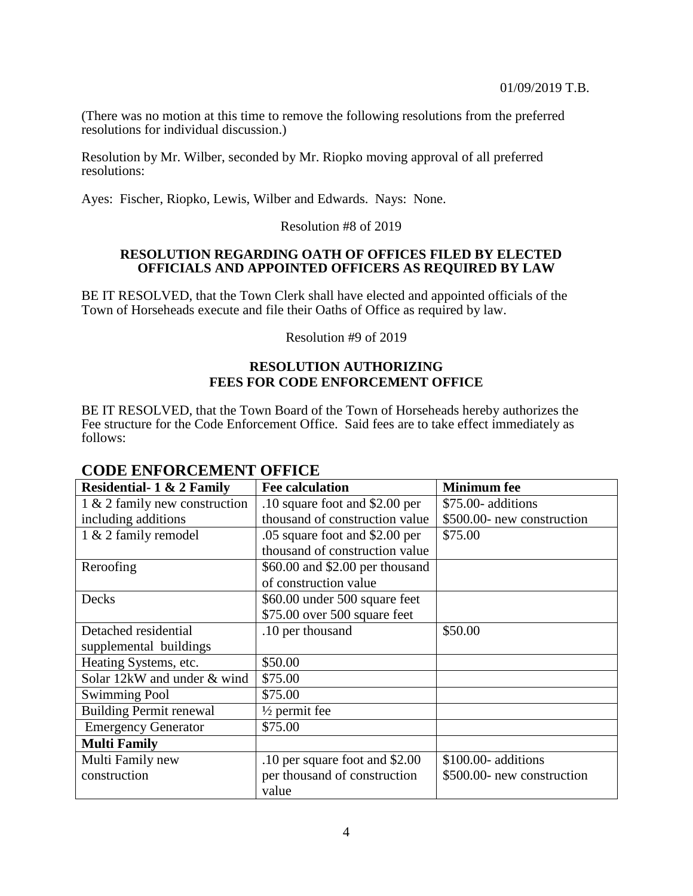(There was no motion at this time to remove the following resolutions from the preferred resolutions for individual discussion.)

Resolution by Mr. Wilber, seconded by Mr. Riopko moving approval of all preferred resolutions:

Ayes: Fischer, Riopko, Lewis, Wilber and Edwards. Nays: None.

# Resolution #8 of 2019

### **RESOLUTION REGARDING OATH OF OFFICES FILED BY ELECTED OFFICIALS AND APPOINTED OFFICERS AS REQUIRED BY LAW**

BE IT RESOLVED, that the Town Clerk shall have elected and appointed officials of the Town of Horseheads execute and file their Oaths of Office as required by law.

Resolution #9 of 2019

# **RESOLUTION AUTHORIZING FEES FOR CODE ENFORCEMENT OFFICE**

BE IT RESOLVED, that the Town Board of the Town of Horseheads hereby authorizes the Fee structure for the Code Enforcement Office. Said fees are to take effect immediately as follows:

| <b>Residential-1 &amp; 2 Family</b> | <b>Fee calculation</b>          | <b>Minimum</b> fee         |
|-------------------------------------|---------------------------------|----------------------------|
| 1 & 2 family new construction       | .10 square foot and \$2.00 per  | \$75.00- additions         |
| including additions                 | thousand of construction value  | \$500.00- new construction |
| 1 & 2 family remodel                | .05 square foot and \$2.00 per  | \$75.00                    |
|                                     | thousand of construction value  |                            |
| Reroofing                           | \$60.00 and \$2.00 per thousand |                            |
|                                     | of construction value           |                            |
| Decks                               | \$60.00 under 500 square feet   |                            |
|                                     | $$75.00$ over $500$ square feet |                            |
| Detached residential                | .10 per thousand                | \$50.00                    |
| supplemental buildings              |                                 |                            |
| Heating Systems, etc.               | \$50.00                         |                            |
| Solar 12kW and under & wind         | \$75.00                         |                            |
| <b>Swimming Pool</b>                | \$75.00                         |                            |
| <b>Building Permit renewal</b>      | $\frac{1}{2}$ permit fee        |                            |
| <b>Emergency Generator</b>          | \$75.00                         |                            |
| <b>Multi Family</b>                 |                                 |                            |
| Multi Family new                    | .10 per square foot and \$2.00  | \$100.00- additions        |
| construction                        | per thousand of construction    | \$500.00- new construction |
|                                     | value                           |                            |

# **CODE ENFORCEMENT OFFICE**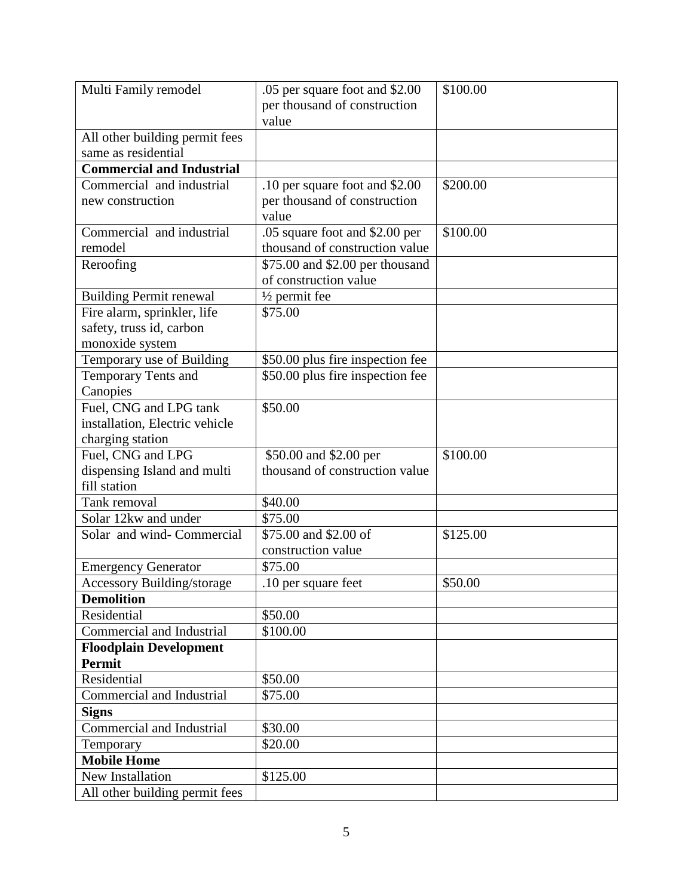| Multi Family remodel              | .05 per square foot and \$2.00   | \$100.00 |
|-----------------------------------|----------------------------------|----------|
|                                   | per thousand of construction     |          |
|                                   | value                            |          |
| All other building permit fees    |                                  |          |
| same as residential               |                                  |          |
| <b>Commercial and Industrial</b>  |                                  |          |
| Commercial and industrial         | .10 per square foot and \$2.00   | \$200.00 |
| new construction                  | per thousand of construction     |          |
|                                   | value                            |          |
| Commercial and industrial         | .05 square foot and \$2.00 per   | \$100.00 |
| remodel                           | thousand of construction value   |          |
| Reroofing                         | \$75.00 and \$2.00 per thousand  |          |
|                                   | of construction value            |          |
| <b>Building Permit renewal</b>    | $\frac{1}{2}$ permit fee         |          |
| Fire alarm, sprinkler, life       | \$75.00                          |          |
| safety, truss id, carbon          |                                  |          |
| monoxide system                   |                                  |          |
| Temporary use of Building         | \$50.00 plus fire inspection fee |          |
| Temporary Tents and               | \$50.00 plus fire inspection fee |          |
| Canopies                          |                                  |          |
| Fuel, CNG and LPG tank            | \$50.00                          |          |
| installation, Electric vehicle    |                                  |          |
| charging station                  |                                  |          |
| Fuel, CNG and LPG                 | \$50.00 and \$2.00 per           | \$100.00 |
| dispensing Island and multi       | thousand of construction value   |          |
| fill station                      |                                  |          |
| Tank removal                      | \$40.00                          |          |
| Solar 12kw and under              | \$75.00                          |          |
| Solar and wind- Commercial        | \$75.00 and \$2.00 of            | \$125.00 |
|                                   | construction value               |          |
| <b>Emergency Generator</b>        | \$75.00                          |          |
| <b>Accessory Building/storage</b> | 10 per square feet               | \$50.00  |
| <b>Demolition</b>                 |                                  |          |
| Residential                       | \$50.00                          |          |
| <b>Commercial and Industrial</b>  | \$100.00                         |          |
| <b>Floodplain Development</b>     |                                  |          |
| <b>Permit</b>                     |                                  |          |
| Residential                       | \$50.00                          |          |
| Commercial and Industrial         | \$75.00                          |          |
| <b>Signs</b>                      |                                  |          |
| <b>Commercial and Industrial</b>  | \$30.00                          |          |
| Temporary                         | \$20.00                          |          |
| <b>Mobile Home</b>                |                                  |          |
| New Installation                  | \$125.00                         |          |
| All other building permit fees    |                                  |          |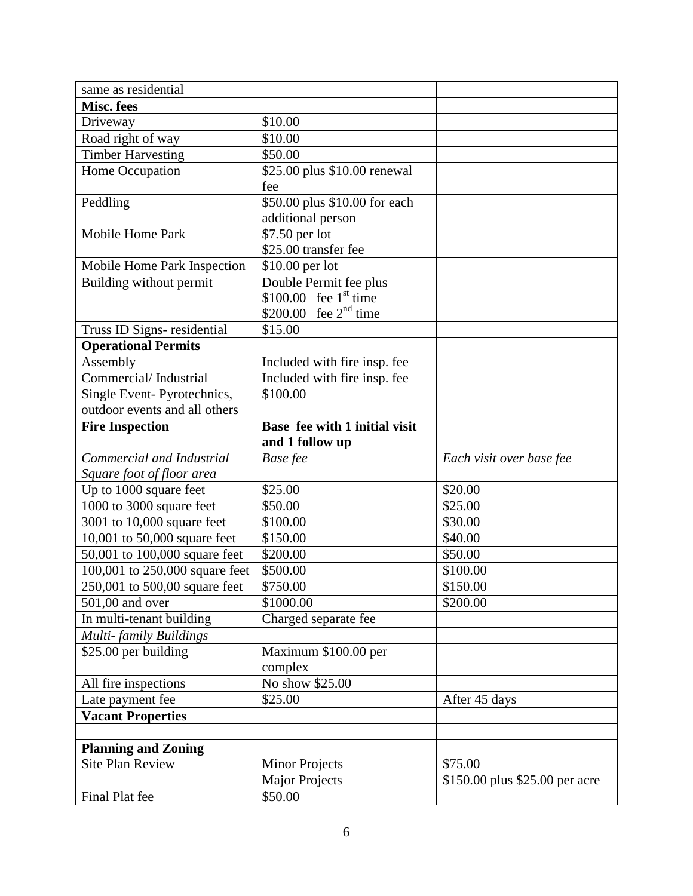| same as residential            |                               |                                |
|--------------------------------|-------------------------------|--------------------------------|
| Misc. fees                     |                               |                                |
| Driveway                       | \$10.00                       |                                |
| Road right of way              | \$10.00                       |                                |
| <b>Timber Harvesting</b>       | \$50.00                       |                                |
| Home Occupation                | \$25.00 plus \$10.00 renewal  |                                |
|                                | fee                           |                                |
| Peddling                       | \$50.00 plus \$10.00 for each |                                |
|                                | additional person             |                                |
| Mobile Home Park               | \$7.50 per lot                |                                |
|                                | \$25.00 transfer fee          |                                |
| Mobile Home Park Inspection    | $$10.00$ per lot              |                                |
| Building without permit        | Double Permit fee plus        |                                |
|                                | \$100.00 fee $1st$ time       |                                |
|                                | \$200.00 fee $2^{nd}$ time    |                                |
| Truss ID Signs- residential    | \$15.00                       |                                |
| <b>Operational Permits</b>     |                               |                                |
| Assembly                       | Included with fire insp. fee  |                                |
| Commercial/Industrial          | Included with fire insp. fee  |                                |
| Single Event-Pyrotechnics,     | \$100.00                      |                                |
| outdoor events and all others  |                               |                                |
| <b>Fire Inspection</b>         | Base fee with 1 initial visit |                                |
|                                | and 1 follow up               |                                |
| Commercial and Industrial      | Base fee                      | Each visit over base fee       |
| Square foot of floor area      |                               |                                |
| Up to 1000 square feet         | \$25.00                       | \$20.00                        |
| 1000 to 3000 square feet       | \$50.00                       | \$25.00                        |
| 3001 to 10,000 square feet     | \$100.00                      | \$30.00                        |
| 10,001 to 50,000 square feet   | \$150.00                      | \$40.00                        |
| 50,001 to 100,000 square feet  | \$200.00                      | \$50.00                        |
| 100,001 to 250,000 square feet | \$500.00                      | \$100.00                       |
| 250,001 to 500,00 square feet  | \$750.00                      | \$150.00                       |
| 501,00 and over                | \$1000.00                     | \$200.00                       |
| In multi-tenant building       | Charged separate fee          |                                |
| Multi-family Buildings         |                               |                                |
| \$25.00 per building           | Maximum \$100.00 per          |                                |
|                                | complex                       |                                |
| All fire inspections           | No show \$25.00               |                                |
| Late payment fee               | \$25.00                       | After 45 days                  |
| <b>Vacant Properties</b>       |                               |                                |
|                                |                               |                                |
| <b>Planning and Zoning</b>     |                               |                                |
| <b>Site Plan Review</b>        | <b>Minor Projects</b>         | \$75.00                        |
|                                |                               |                                |
| Final Plat fee                 | \$50.00                       |                                |
|                                | <b>Major Projects</b>         | \$150.00 plus \$25.00 per acre |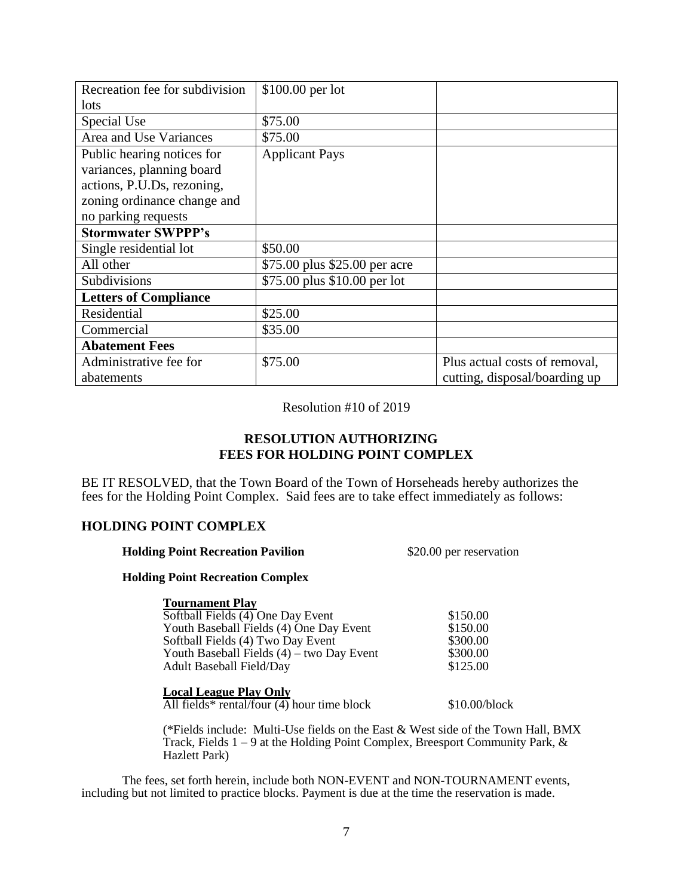| Recreation fee for subdivision | \$100.00 per lot              |                               |
|--------------------------------|-------------------------------|-------------------------------|
| lots                           |                               |                               |
| Special Use                    | \$75.00                       |                               |
| Area and Use Variances         | \$75.00                       |                               |
| Public hearing notices for     | <b>Applicant Pays</b>         |                               |
| variances, planning board      |                               |                               |
| actions, P.U.Ds, rezoning,     |                               |                               |
| zoning ordinance change and    |                               |                               |
| no parking requests            |                               |                               |
| <b>Stormwater SWPPP's</b>      |                               |                               |
| Single residential lot         | \$50.00                       |                               |
| All other                      | \$75.00 plus \$25.00 per acre |                               |
| Subdivisions                   | \$75.00 plus \$10.00 per lot  |                               |
| <b>Letters of Compliance</b>   |                               |                               |
| <b>Residential</b>             | \$25.00                       |                               |
| Commercial                     | \$35.00                       |                               |
| <b>Abatement Fees</b>          |                               |                               |
| Administrative fee for         | \$75.00                       | Plus actual costs of removal, |
| abatements                     |                               | cutting, disposal/boarding up |

Resolution #10 of 2019

# **RESOLUTION AUTHORIZING FEES FOR HOLDING POINT COMPLEX**

BE IT RESOLVED, that the Town Board of the Town of Horseheads hereby authorizes the fees for the Holding Point Complex. Said fees are to take effect immediately as follows:

## **HOLDING POINT COMPLEX**

| <b>Holding Point Recreation Pavilion</b> | \$20.00 per reservation |
|------------------------------------------|-------------------------|
|------------------------------------------|-------------------------|

### **Holding Point Recreation Complex**

### **Tournament Play**

| \$150.00<br>\$150.00 |
|----------------------|
|                      |
|                      |
| \$300.00             |
| \$300.00             |
| \$125.00             |
|                      |

## **Local League Play Only**

All fields\* rental/four (4) hour time block \$10.00/block

(\*Fields include: Multi-Use fields on the East & West side of the Town Hall, BMX Track, Fields  $1 - 9$  at the Holding Point Complex, Breesport Community Park, & Hazlett Park)

The fees, set forth herein, include both NON-EVENT and NON-TOURNAMENT events, including but not limited to practice blocks. Payment is due at the time the reservation is made.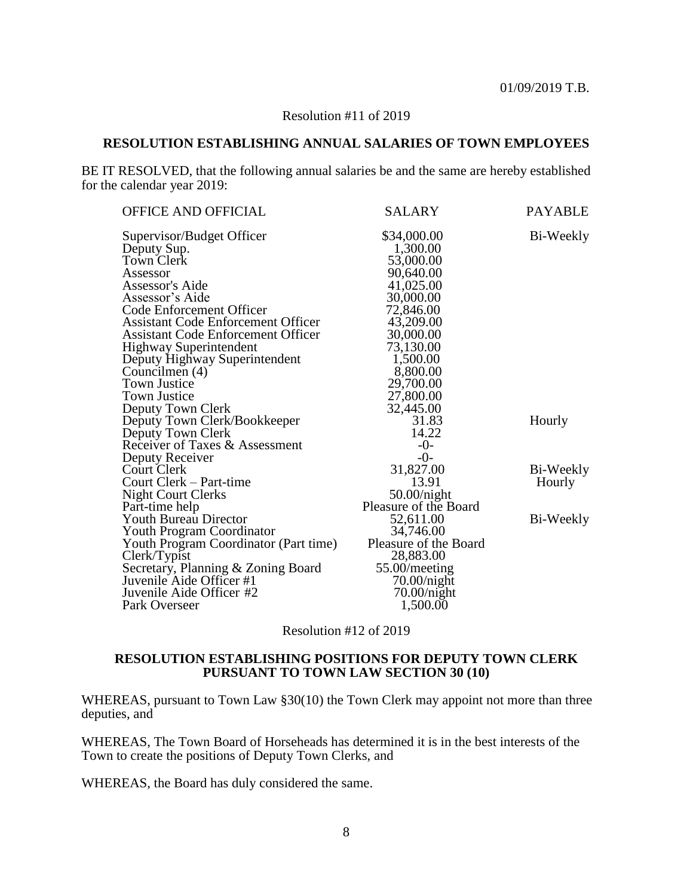## Resolution #11 of 2019

## **RESOLUTION ESTABLISHING ANNUAL SALARIES OF TOWN EMPLOYEES**

BE IT RESOLVED, that the following annual salaries be and the same are hereby established for the calendar year 2019:

| <b>SALARY</b>         | <b>PAYABLE</b>                                                                                                                                                                                 |
|-----------------------|------------------------------------------------------------------------------------------------------------------------------------------------------------------------------------------------|
|                       | Bi-Weekly                                                                                                                                                                                      |
|                       |                                                                                                                                                                                                |
|                       |                                                                                                                                                                                                |
|                       |                                                                                                                                                                                                |
|                       |                                                                                                                                                                                                |
|                       |                                                                                                                                                                                                |
|                       |                                                                                                                                                                                                |
|                       |                                                                                                                                                                                                |
|                       |                                                                                                                                                                                                |
|                       |                                                                                                                                                                                                |
|                       |                                                                                                                                                                                                |
|                       |                                                                                                                                                                                                |
|                       |                                                                                                                                                                                                |
|                       |                                                                                                                                                                                                |
|                       |                                                                                                                                                                                                |
| 31.83                 | Hourly                                                                                                                                                                                         |
| 14.22                 |                                                                                                                                                                                                |
| $-0-$                 |                                                                                                                                                                                                |
| $-0-$                 |                                                                                                                                                                                                |
| 31,827.00             | Bi-Weekly                                                                                                                                                                                      |
| 13.91                 | Hourly                                                                                                                                                                                         |
| 50.00/night           |                                                                                                                                                                                                |
| Pleasure of the Board |                                                                                                                                                                                                |
| 52,611.00             | Bi-Weekly                                                                                                                                                                                      |
| 34,746.00             |                                                                                                                                                                                                |
| Pleasure of the Board |                                                                                                                                                                                                |
| 28,883.00             |                                                                                                                                                                                                |
| 55.00/meeting         |                                                                                                                                                                                                |
| 70.00/night           |                                                                                                                                                                                                |
| 70.00/night           |                                                                                                                                                                                                |
| 1,500.00              |                                                                                                                                                                                                |
|                       | \$34,000.00<br>1,300.00<br>53,000.00<br>90,640.00<br>41,025.00<br>30,000.00<br>72,846.00<br>43,209.00<br>30,000.00<br>73,130.00<br>1,500.00<br>8,800.00<br>29,700.00<br>27,800.00<br>32,445.00 |

Resolution #12 of 2019

## **RESOLUTION ESTABLISHING POSITIONS FOR DEPUTY TOWN CLERK PURSUANT TO TOWN LAW SECTION 30 (10)**

WHEREAS, pursuant to Town Law §30(10) the Town Clerk may appoint not more than three deputies, and

WHEREAS, The Town Board of Horseheads has determined it is in the best interests of the Town to create the positions of Deputy Town Clerks, and

WHEREAS, the Board has duly considered the same.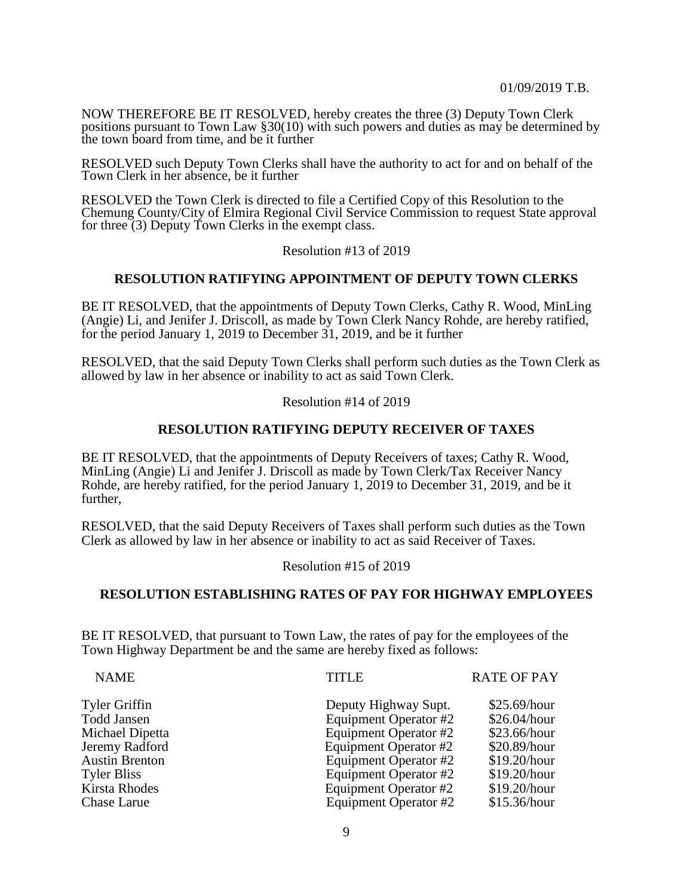NOW THEREFORE BE IT RESOLVED, hereby creates the three (3) Deputy Town Clerk positions pursuant to Town Law §30(10) with such powers and duties as may be determined by the town board from time, and be it further

RESOLVED such Deputy Town Clerks shall have the authority to act for and on behalf of the Town Clerk in her absence, be it further

RESOLVED the Town Clerk is directed to file a Certified Copy of this Resolution to the Chemung County/City of Elmira Regional Civil Service Commission to request State approval for three  $(3)$  Deputy Town Clerks in the exempt class.

Resolution #13 of 2019

### **RESOLUTION RATIFYING APPOINTMENT OF DEPUTY TOWN CLERKS**

BE IT RESOLVED, that the appointments of Deputy Town Clerks, Cathy R. Wood, MinLing (Angie) Li, and Jenifer J. Driscoll, as made by Town Clerk Nancy Rohde, are hereby ratified, for the period January 1, 2019 to December 31, 2019, and be it further

RESOLVED, that the said Deputy Town Clerks shall perform such duties as the Town Clerk as allowed by law in her absence or inability to act as said Town Clerk.

Resolution #14 of 2019

## **RESOLUTION RATIFYING DEPUTY RECEIVER OF TAXES**

BE IT RESOLVED, that the appointments of Deputy Receivers of taxes; Cathy R. Wood, MinLing (Angie) Li and Jenifer J. Driscoll as made by Town Clerk/Tax Receiver Nancy Rohde, are hereby ratified, for the period January 1, 2019 to December 31, 2019, and be it further,

RESOLVED, that the said Deputy Receivers of Taxes shall perform such duties as the Town Clerk as allowed by law in her absence or inability to act as said Receiver of Taxes.

Resolution #15 of 2019

### **RESOLUTION ESTABLISHING RATES OF PAY FOR HIGHWAY EMPLOYEES**

BE IT RESOLVED, that pursuant to Town Law, the rates of pay for the employees of the Town Highway Department be and the same are hereby fixed as follows:

| <b>NAME</b>           | <b>TITLE</b>          | <b>RATE OF PAY</b> |
|-----------------------|-----------------------|--------------------|
| Tyler Griffin         | Deputy Highway Supt.  | \$25.69/hour       |
| Todd Jansen           | Equipment Operator #2 | \$26.04/hour       |
| Michael Dipetta       | Equipment Operator #2 | \$23.66/hour       |
| Jeremy Radford        | Equipment Operator #2 | \$20.89/hour       |
| <b>Austin Brenton</b> | Equipment Operator #2 | \$19.20/hour       |
| Tyler Bliss           | Equipment Operator #2 | \$19.20/hour       |
| Kirsta Rhodes         | Equipment Operator #2 | \$19.20/hour       |
| Chase Larue           | Equipment Operator #2 | \$15.36/hour       |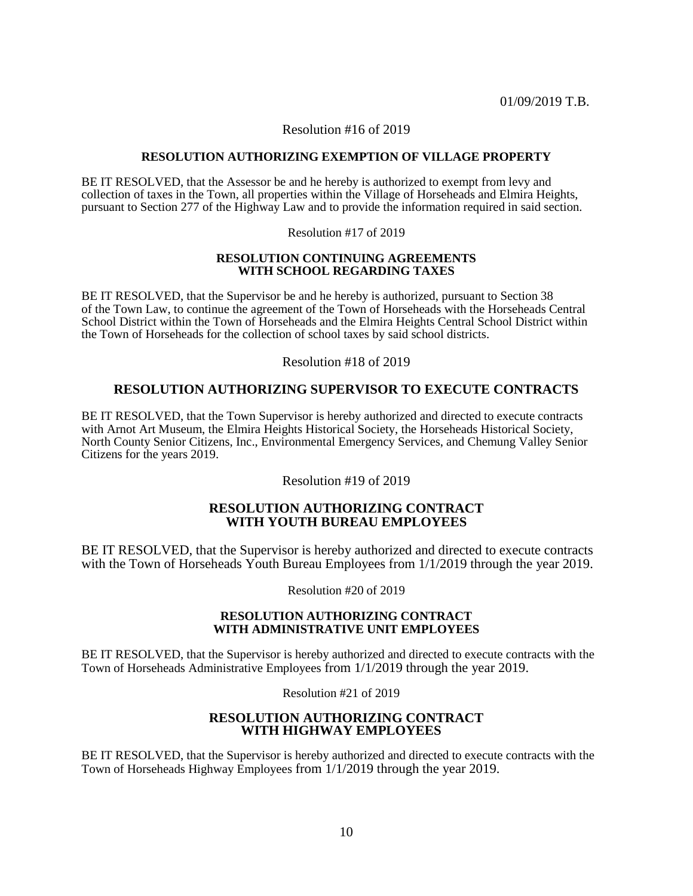### Resolution #16 of 2019

#### **RESOLUTION AUTHORIZING EXEMPTION OF VILLAGE PROPERTY**

BE IT RESOLVED, that the Assessor be and he hereby is authorized to exempt from levy and collection of taxes in the Town, all properties within the Village of Horseheads and Elmira Heights, pursuant to Section 277 of the Highway Law and to provide the information required in said section.

Resolution #17 of 2019

### **RESOLUTION CONTINUING AGREEMENTS WITH SCHOOL REGARDING TAXES**

BE IT RESOLVED, that the Supervisor be and he hereby is authorized, pursuant to Section 38 of the Town Law, to continue the agreement of the Town of Horseheads with the Horseheads Central School District within the Town of Horseheads and the Elmira Heights Central School District within the Town of Horseheads for the collection of school taxes by said school districts.

Resolution #18 of 2019

## **RESOLUTION AUTHORIZING SUPERVISOR TO EXECUTE CONTRACTS**

BE IT RESOLVED, that the Town Supervisor is hereby authorized and directed to execute contracts with Arnot Art Museum, the Elmira Heights Historical Society, the Horseheads Historical Society, North County Senior Citizens, Inc., Environmental Emergency Services, and Chemung Valley Senior Citizens for the years 2019.

Resolution #19 of 2019

## **RESOLUTION AUTHORIZING CONTRACT WITH YOUTH BUREAU EMPLOYEES**

BE IT RESOLVED, that the Supervisor is hereby authorized and directed to execute contracts with the Town of Horseheads Youth Bureau Employees from  $1/1/2019$  through the year 2019.

Resolution #20 of 2019

### **RESOLUTION AUTHORIZING CONTRACT WITH ADMINISTRATIVE UNIT EMPLOYEES**

BE IT RESOLVED, that the Supervisor is hereby authorized and directed to execute contracts with the Town of Horseheads Administrative Employees from 1/1/2019 through the year 2019.

Resolution #21 of 2019

### **RESOLUTION AUTHORIZING CONTRACT WITH HIGHWAY EMPLOYEES**

BE IT RESOLVED, that the Supervisor is hereby authorized and directed to execute contracts with the Town of Horseheads Highway Employees from 1/1/2019 through the year 2019.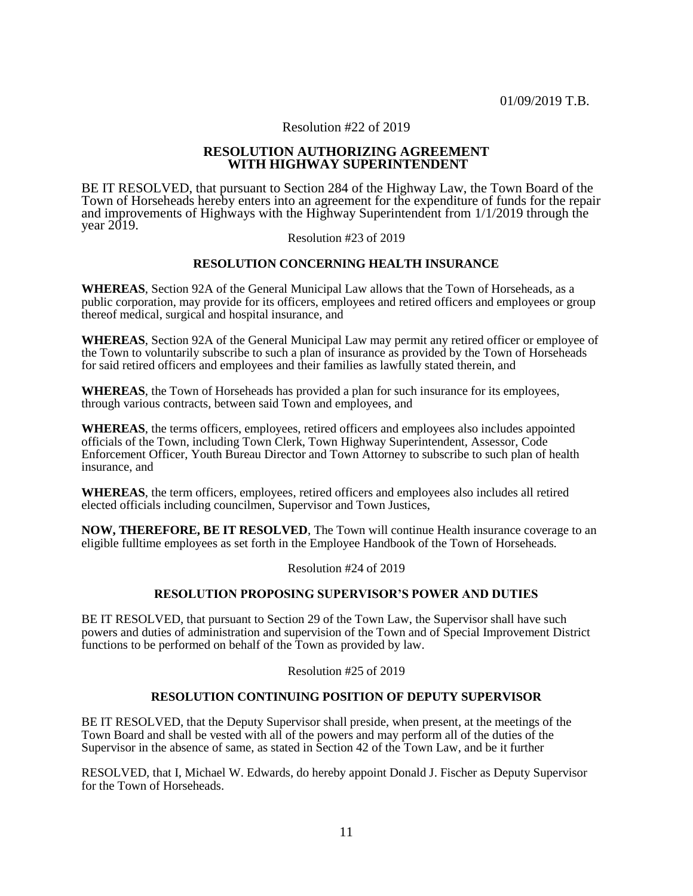### Resolution #22 of 2019

### **RESOLUTION AUTHORIZING AGREEMENT WITH HIGHWAY SUPERINTENDENT**

BE IT RESOLVED, that pursuant to Section 284 of the Highway Law, the Town Board of the Town of Horseheads hereby enters into an agreement for the expenditure of funds for the repair and improvements of Highways with the Highway Superintendent from 1/1/2019 through the year 2019.

#### Resolution #23 of 2019

### **RESOLUTION CONCERNING HEALTH INSURANCE**

**WHEREAS**, Section 92A of the General Municipal Law allows that the Town of Horseheads, as a public corporation, may provide for its officers, employees and retired officers and employees or group thereof medical, surgical and hospital insurance, and

**WHEREAS**, Section 92A of the General Municipal Law may permit any retired officer or employee of the Town to voluntarily subscribe to such a plan of insurance as provided by the Town of Horseheads for said retired officers and employees and their families as lawfully stated therein, and

**WHEREAS**, the Town of Horseheads has provided a plan for such insurance for its employees, through various contracts, between said Town and employees, and

**WHEREAS**, the terms officers, employees, retired officers and employees also includes appointed officials of the Town, including Town Clerk, Town Highway Superintendent, Assessor, Code Enforcement Officer, Youth Bureau Director and Town Attorney to subscribe to such plan of health insurance, and

**WHEREAS**, the term officers, employees, retired officers and employees also includes all retired elected officials including councilmen, Supervisor and Town Justices,

**NOW, THEREFORE, BE IT RESOLVED**, The Town will continue Health insurance coverage to an eligible fulltime employees as set forth in the Employee Handbook of the Town of Horseheads.

Resolution #24 of 2019

### **RESOLUTION PROPOSING SUPERVISOR'S POWER AND DUTIES**

BE IT RESOLVED, that pursuant to Section 29 of the Town Law, the Supervisor shall have such powers and duties of administration and supervision of the Town and of Special Improvement District functions to be performed on behalf of the Town as provided by law.

Resolution #25 of 2019

### **RESOLUTION CONTINUING POSITION OF DEPUTY SUPERVISOR**

BE IT RESOLVED, that the Deputy Supervisor shall preside, when present, at the meetings of the Town Board and shall be vested with all of the powers and may perform all of the duties of the Supervisor in the absence of same, as stated in Section 42 of the Town Law, and be it further

RESOLVED, that I, Michael W. Edwards, do hereby appoint Donald J. Fischer as Deputy Supervisor for the Town of Horseheads.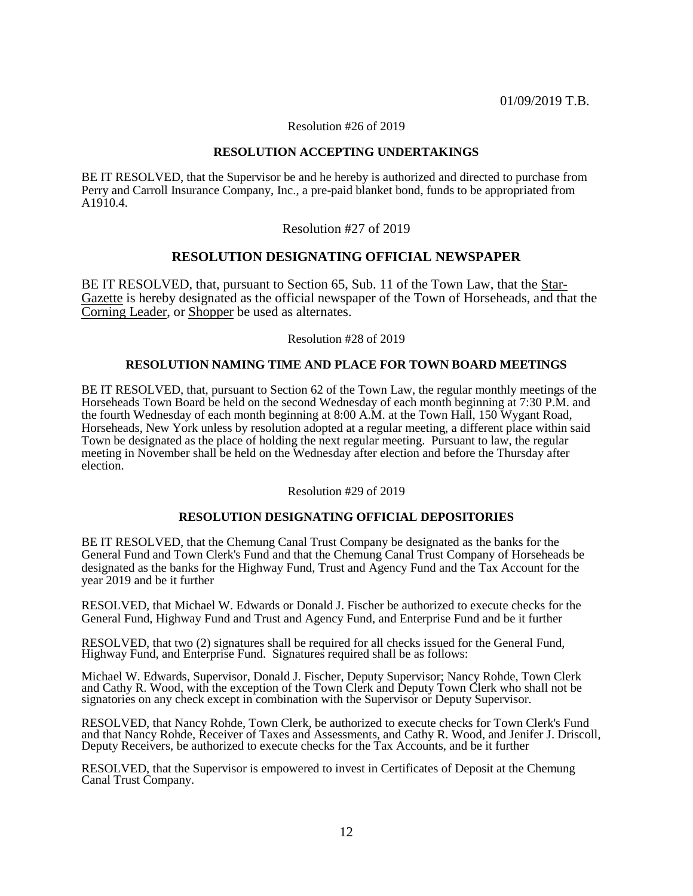Resolution #26 of 2019

### **RESOLUTION ACCEPTING UNDERTAKINGS**

BE IT RESOLVED, that the Supervisor be and he hereby is authorized and directed to purchase from Perry and Carroll Insurance Company, Inc., a pre-paid blanket bond, funds to be appropriated from A1910.4.

Resolution #27 of 2019

## **RESOLUTION DESIGNATING OFFICIAL NEWSPAPER**

BE IT RESOLVED, that, pursuant to Section 65, Sub. 11 of the Town Law, that the Star-Gazette is hereby designated as the official newspaper of the Town of Horseheads, and that the Corning Leader, or Shopper be used as alternates.

Resolution #28 of 2019

### **RESOLUTION NAMING TIME AND PLACE FOR TOWN BOARD MEETINGS**

BE IT RESOLVED, that, pursuant to Section 62 of the Town Law, the regular monthly meetings of the Horseheads Town Board be held on the second Wednesday of each month beginning at 7:30 P.M. and the fourth Wednesday of each month beginning at 8:00 A.M. at the Town Hall, 150 Wygant Road, Horseheads, New York unless by resolution adopted at a regular meeting, a different place within said Town be designated as the place of holding the next regular meeting. Pursuant to law, the regular meeting in November shall be held on the Wednesday after election and before the Thursday after election.

Resolution #29 of 2019

## **RESOLUTION DESIGNATING OFFICIAL DEPOSITORIES**

BE IT RESOLVED, that the Chemung Canal Trust Company be designated as the banks for the General Fund and Town Clerk's Fund and that the Chemung Canal Trust Company of Horseheads be designated as the banks for the Highway Fund, Trust and Agency Fund and the Tax Account for the year 2019 and be it further

RESOLVED, that Michael W. Edwards or Donald J. Fischer be authorized to execute checks for the General Fund, Highway Fund and Trust and Agency Fund, and Enterprise Fund and be it further

RESOLVED, that two (2) signatures shall be required for all checks issued for the General Fund, Highway Fund, and Enterprise Fund. Signatures required shall be as follows:

Michael W. Edwards, Supervisor, Donald J. Fischer, Deputy Supervisor; Nancy Rohde, Town Clerk and Cathy R. Wood, with the exception of the Town Clerk and Deputy Town Clerk who shall not be signatories on any check except in combination with the Supervisor or Deputy Supervisor.

RESOLVED, that Nancy Rohde, Town Clerk, be authorized to execute checks for Town Clerk's Fund and that Nancy Rohde, Receiver of Taxes and Assessments, and Cathy R. Wood, and Jenifer J. Driscoll, Deputy Receivers, be authorized to execute checks for the Tax Accounts, and be it further

RESOLVED, that the Supervisor is empowered to invest in Certificates of Deposit at the Chemung Canal Trust Company.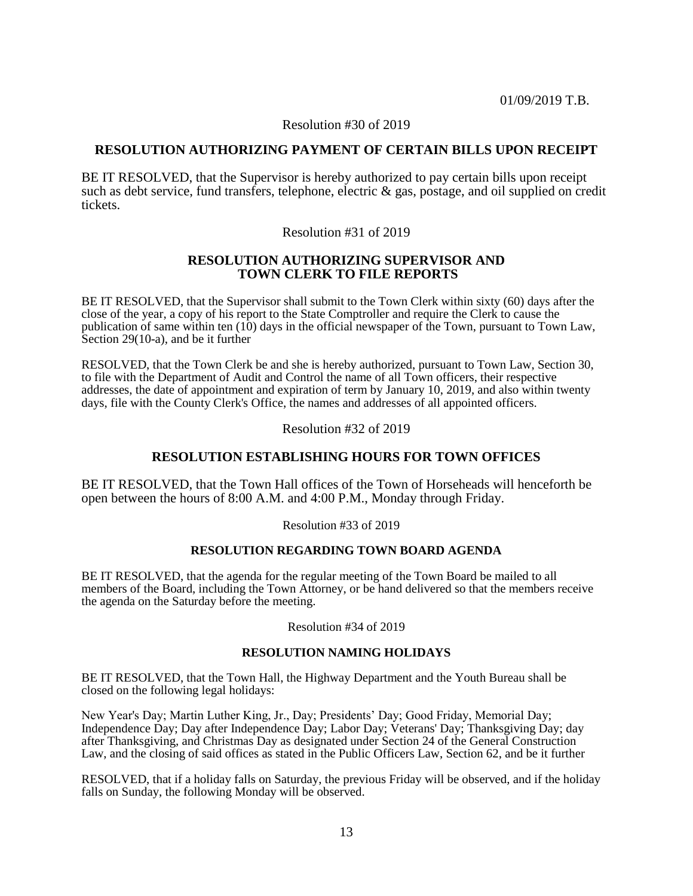Resolution #30 of 2019

## **RESOLUTION AUTHORIZING PAYMENT OF CERTAIN BILLS UPON RECEIPT**

BE IT RESOLVED, that the Supervisor is hereby authorized to pay certain bills upon receipt such as debt service, fund transfers, telephone, electric & gas, postage, and oil supplied on credit tickets.

## Resolution #31 of 2019

## **RESOLUTION AUTHORIZING SUPERVISOR AND TOWN CLERK TO FILE REPORTS**

BE IT RESOLVED, that the Supervisor shall submit to the Town Clerk within sixty (60) days after the close of the year, a copy of his report to the State Comptroller and require the Clerk to cause the publication of same within ten (10) days in the official newspaper of the Town, pursuant to Town Law, Section 29(10-a), and be it further

RESOLVED, that the Town Clerk be and she is hereby authorized, pursuant to Town Law, Section 30, to file with the Department of Audit and Control the name of all Town officers, their respective addresses, the date of appointment and expiration of term by January 10, 2019, and also within twenty days, file with the County Clerk's Office, the names and addresses of all appointed officers.

## Resolution #32 of 2019

# **RESOLUTION ESTABLISHING HOURS FOR TOWN OFFICES**

BE IT RESOLVED, that the Town Hall offices of the Town of Horseheads will henceforth be open between the hours of 8:00 A.M. and 4:00 P.M., Monday through Friday.

Resolution #33 of 2019

## **RESOLUTION REGARDING TOWN BOARD AGENDA**

BE IT RESOLVED, that the agenda for the regular meeting of the Town Board be mailed to all members of the Board, including the Town Attorney, or be hand delivered so that the members receive the agenda on the Saturday before the meeting.

Resolution #34 of 2019

## **RESOLUTION NAMING HOLIDAYS**

BE IT RESOLVED, that the Town Hall, the Highway Department and the Youth Bureau shall be closed on the following legal holidays:

New Year's Day; Martin Luther King, Jr., Day; Presidents' Day; Good Friday, Memorial Day; Independence Day; Day after Independence Day; Labor Day; Veterans' Day; Thanksgiving Day; day after Thanksgiving, and Christmas Day as designated under Section 24 of the General Construction Law, and the closing of said offices as stated in the Public Officers Law, Section 62, and be it further

RESOLVED, that if a holiday falls on Saturday, the previous Friday will be observed, and if the holiday falls on Sunday, the following Monday will be observed.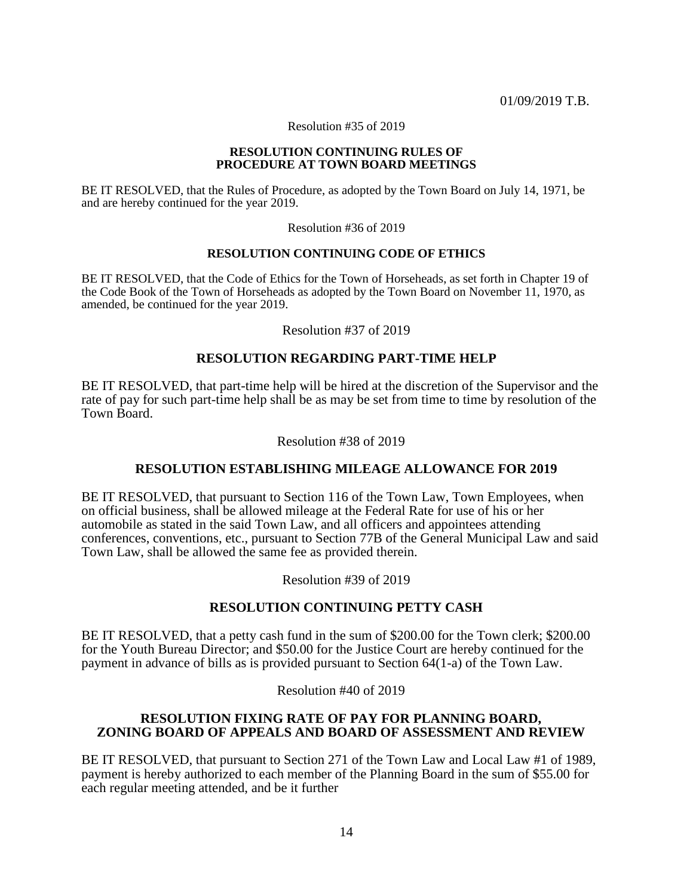Resolution #35 of 2019

#### **RESOLUTION CONTINUING RULES OF PROCEDURE AT TOWN BOARD MEETINGS**

BE IT RESOLVED, that the Rules of Procedure, as adopted by the Town Board on July 14, 1971, be and are hereby continued for the year 2019.

Resolution #36 of 2019

### **RESOLUTION CONTINUING CODE OF ETHICS**

BE IT RESOLVED, that the Code of Ethics for the Town of Horseheads, as set forth in Chapter 19 of the Code Book of the Town of Horseheads as adopted by the Town Board on November 11, 1970, as amended, be continued for the year 2019.

Resolution #37 of 2019

# **RESOLUTION REGARDING PART-TIME HELP**

BE IT RESOLVED, that part-time help will be hired at the discretion of the Supervisor and the rate of pay for such part-time help shall be as may be set from time to time by resolution of the Town Board.

Resolution #38 of 2019

## **RESOLUTION ESTABLISHING MILEAGE ALLOWANCE FOR 2019**

BE IT RESOLVED, that pursuant to Section 116 of the Town Law, Town Employees, when on official business, shall be allowed mileage at the Federal Rate for use of his or her automobile as stated in the said Town Law, and all officers and appointees attending conferences, conventions, etc., pursuant to Section 77B of the General Municipal Law and said Town Law, shall be allowed the same fee as provided therein.

Resolution #39 of 2019

## **RESOLUTION CONTINUING PETTY CASH**

BE IT RESOLVED, that a petty cash fund in the sum of \$200.00 for the Town clerk; \$200.00 for the Youth Bureau Director; and \$50.00 for the Justice Court are hereby continued for the payment in advance of bills as is provided pursuant to Section 64(1-a) of the Town Law.

Resolution #40 of 2019

## **RESOLUTION FIXING RATE OF PAY FOR PLANNING BOARD, ZONING BOARD OF APPEALS AND BOARD OF ASSESSMENT AND REVIEW**

BE IT RESOLVED, that pursuant to Section 271 of the Town Law and Local Law #1 of 1989, payment is hereby authorized to each member of the Planning Board in the sum of \$55.00 for each regular meeting attended, and be it further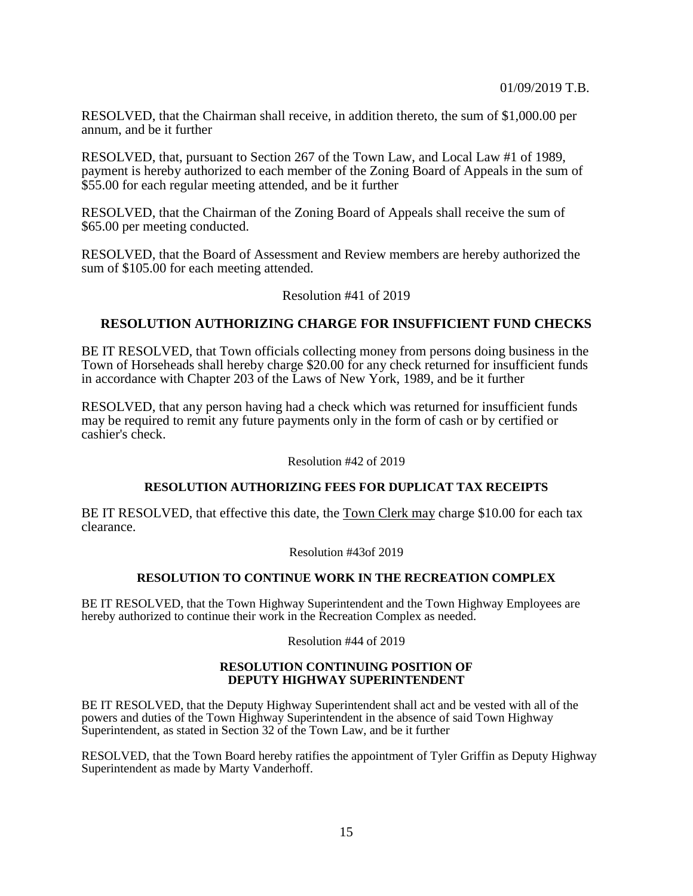RESOLVED, that the Chairman shall receive, in addition thereto, the sum of \$1,000.00 per annum, and be it further

RESOLVED, that, pursuant to Section 267 of the Town Law, and Local Law #1 of 1989, payment is hereby authorized to each member of the Zoning Board of Appeals in the sum of \$55.00 for each regular meeting attended, and be it further

RESOLVED, that the Chairman of the Zoning Board of Appeals shall receive the sum of \$65.00 per meeting conducted.

RESOLVED, that the Board of Assessment and Review members are hereby authorized the sum of \$105.00 for each meeting attended.

Resolution #41 of 2019

## **RESOLUTION AUTHORIZING CHARGE FOR INSUFFICIENT FUND CHECKS**

BE IT RESOLVED, that Town officials collecting money from persons doing business in the Town of Horseheads shall hereby charge \$20.00 for any check returned for insufficient funds in accordance with Chapter 203 of the Laws of New York, 1989, and be it further

RESOLVED, that any person having had a check which was returned for insufficient funds may be required to remit any future payments only in the form of cash or by certified or cashier's check.

Resolution #42 of 2019

### **RESOLUTION AUTHORIZING FEES FOR DUPLICAT TAX RECEIPTS**

BE IT RESOLVED, that effective this date, the Town Clerk may charge \$10.00 for each tax clearance.

Resolution #43of 2019

### **RESOLUTION TO CONTINUE WORK IN THE RECREATION COMPLEX**

BE IT RESOLVED, that the Town Highway Superintendent and the Town Highway Employees are hereby authorized to continue their work in the Recreation Complex as needed.

Resolution #44 of 2019

### **RESOLUTION CONTINUING POSITION OF DEPUTY HIGHWAY SUPERINTENDENT**

BE IT RESOLVED, that the Deputy Highway Superintendent shall act and be vested with all of the powers and duties of the Town Highway Superintendent in the absence of said Town Highway Superintendent, as stated in Section 32 of the Town Law, and be it further

RESOLVED, that the Town Board hereby ratifies the appointment of Tyler Griffin as Deputy Highway Superintendent as made by Marty Vanderhoff.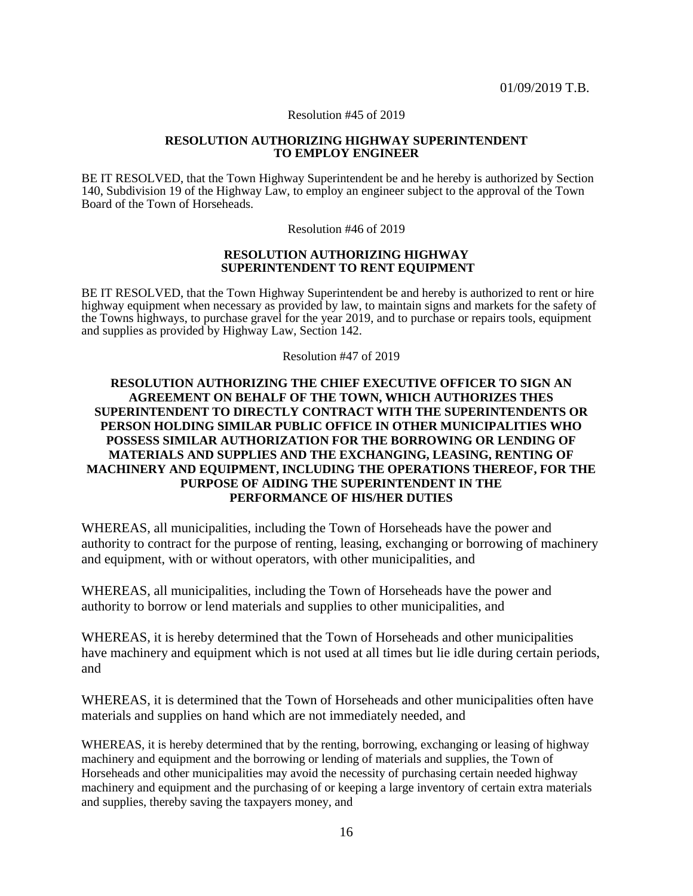Resolution #45 of 2019

#### **RESOLUTION AUTHORIZING HIGHWAY SUPERINTENDENT TO EMPLOY ENGINEER**

BE IT RESOLVED, that the Town Highway Superintendent be and he hereby is authorized by Section 140, Subdivision 19 of the Highway Law, to employ an engineer subject to the approval of the Town Board of the Town of Horseheads.

Resolution #46 of 2019

### **RESOLUTION AUTHORIZING HIGHWAY SUPERINTENDENT TO RENT EQUIPMENT**

BE IT RESOLVED, that the Town Highway Superintendent be and hereby is authorized to rent or hire highway equipment when necessary as provided by law, to maintain signs and markets for the safety of the Towns highways, to purchase gravel for the year 2019, and to purchase or repairs tools, equipment and supplies as provided by Highway Law, Section 142.

Resolution #47 of 2019

## **RESOLUTION AUTHORIZING THE CHIEF EXECUTIVE OFFICER TO SIGN AN AGREEMENT ON BEHALF OF THE TOWN, WHICH AUTHORIZES THES SUPERINTENDENT TO DIRECTLY CONTRACT WITH THE SUPERINTENDENTS OR PERSON HOLDING SIMILAR PUBLIC OFFICE IN OTHER MUNICIPALITIES WHO POSSESS SIMILAR AUTHORIZATION FOR THE BORROWING OR LENDING OF MATERIALS AND SUPPLIES AND THE EXCHANGING, LEASING, RENTING OF MACHINERY AND EQUIPMENT, INCLUDING THE OPERATIONS THEREOF, FOR THE PURPOSE OF AIDING THE SUPERINTENDENT IN THE PERFORMANCE OF HIS/HER DUTIES**

WHEREAS, all municipalities, including the Town of Horseheads have the power and authority to contract for the purpose of renting, leasing, exchanging or borrowing of machinery and equipment, with or without operators, with other municipalities, and

WHEREAS, all municipalities, including the Town of Horseheads have the power and authority to borrow or lend materials and supplies to other municipalities, and

WHEREAS, it is hereby determined that the Town of Horseheads and other municipalities have machinery and equipment which is not used at all times but lie idle during certain periods, and

WHEREAS, it is determined that the Town of Horseheads and other municipalities often have materials and supplies on hand which are not immediately needed, and

WHEREAS, it is hereby determined that by the renting, borrowing, exchanging or leasing of highway machinery and equipment and the borrowing or lending of materials and supplies, the Town of Horseheads and other municipalities may avoid the necessity of purchasing certain needed highway machinery and equipment and the purchasing of or keeping a large inventory of certain extra materials and supplies, thereby saving the taxpayers money, and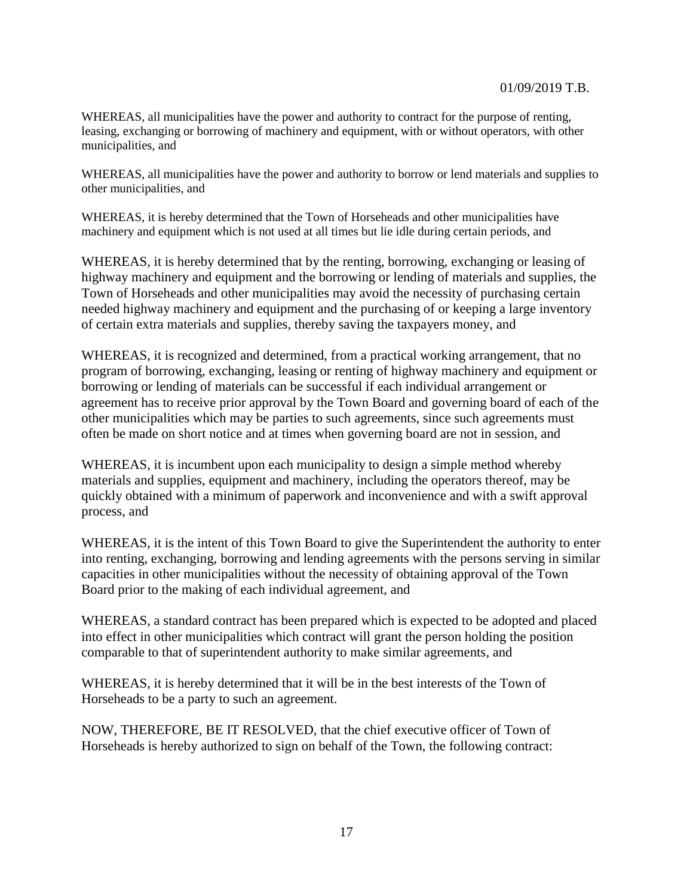WHEREAS, all municipalities have the power and authority to contract for the purpose of renting, leasing, exchanging or borrowing of machinery and equipment, with or without operators, with other municipalities, and

WHEREAS, all municipalities have the power and authority to borrow or lend materials and supplies to other municipalities, and

WHEREAS, it is hereby determined that the Town of Horseheads and other municipalities have machinery and equipment which is not used at all times but lie idle during certain periods, and

WHEREAS, it is hereby determined that by the renting, borrowing, exchanging or leasing of highway machinery and equipment and the borrowing or lending of materials and supplies, the Town of Horseheads and other municipalities may avoid the necessity of purchasing certain needed highway machinery and equipment and the purchasing of or keeping a large inventory of certain extra materials and supplies, thereby saving the taxpayers money, and

WHEREAS, it is recognized and determined, from a practical working arrangement, that no program of borrowing, exchanging, leasing or renting of highway machinery and equipment or borrowing or lending of materials can be successful if each individual arrangement or agreement has to receive prior approval by the Town Board and governing board of each of the other municipalities which may be parties to such agreements, since such agreements must often be made on short notice and at times when governing board are not in session, and

WHEREAS, it is incumbent upon each municipality to design a simple method whereby materials and supplies, equipment and machinery, including the operators thereof, may be quickly obtained with a minimum of paperwork and inconvenience and with a swift approval process, and

WHEREAS, it is the intent of this Town Board to give the Superintendent the authority to enter into renting, exchanging, borrowing and lending agreements with the persons serving in similar capacities in other municipalities without the necessity of obtaining approval of the Town Board prior to the making of each individual agreement, and

WHEREAS, a standard contract has been prepared which is expected to be adopted and placed into effect in other municipalities which contract will grant the person holding the position comparable to that of superintendent authority to make similar agreements, and

WHEREAS, it is hereby determined that it will be in the best interests of the Town of Horseheads to be a party to such an agreement.

NOW, THEREFORE, BE IT RESOLVED, that the chief executive officer of Town of Horseheads is hereby authorized to sign on behalf of the Town, the following contract: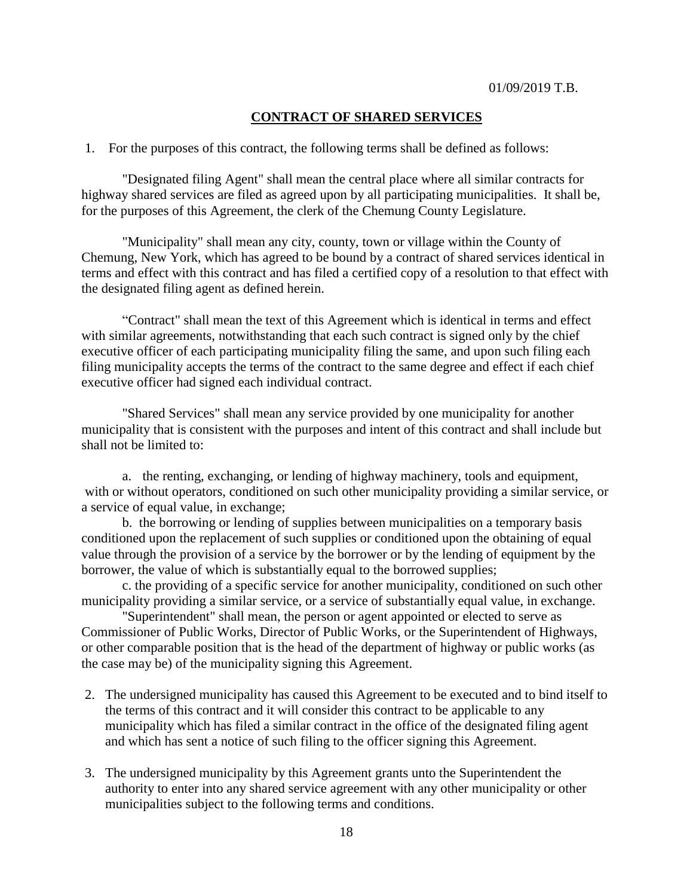# **CONTRACT OF SHARED SERVICES**

1. For the purposes of this contract, the following terms shall be defined as follows:

"Designated filing Agent" shall mean the central place where all similar contracts for highway shared services are filed as agreed upon by all participating municipalities. It shall be, for the purposes of this Agreement, the clerk of the Chemung County Legislature.

"Municipality" shall mean any city, county, town or village within the County of Chemung, New York, which has agreed to be bound by a contract of shared services identical in terms and effect with this contract and has filed a certified copy of a resolution to that effect with the designated filing agent as defined herein.

"Contract" shall mean the text of this Agreement which is identical in terms and effect with similar agreements, notwithstanding that each such contract is signed only by the chief executive officer of each participating municipality filing the same, and upon such filing each filing municipality accepts the terms of the contract to the same degree and effect if each chief executive officer had signed each individual contract.

"Shared Services" shall mean any service provided by one municipality for another municipality that is consistent with the purposes and intent of this contract and shall include but shall not be limited to:

a. the renting, exchanging, or lending of highway machinery, tools and equipment, with or without operators, conditioned on such other municipality providing a similar service, or a service of equal value, in exchange;

b. the borrowing or lending of supplies between municipalities on a temporary basis conditioned upon the replacement of such supplies or conditioned upon the obtaining of equal value through the provision of a service by the borrower or by the lending of equipment by the borrower, the value of which is substantially equal to the borrowed supplies;

c. the providing of a specific service for another municipality, conditioned on such other municipality providing a similar service, or a service of substantially equal value, in exchange.

"Superintendent" shall mean, the person or agent appointed or elected to serve as Commissioner of Public Works, Director of Public Works, or the Superintendent of Highways, or other comparable position that is the head of the department of highway or public works (as the case may be) of the municipality signing this Agreement.

- 2. The undersigned municipality has caused this Agreement to be executed and to bind itself to the terms of this contract and it will consider this contract to be applicable to any municipality which has filed a similar contract in the office of the designated filing agent and which has sent a notice of such filing to the officer signing this Agreement.
- 3. The undersigned municipality by this Agreement grants unto the Superintendent the authority to enter into any shared service agreement with any other municipality or other municipalities subject to the following terms and conditions.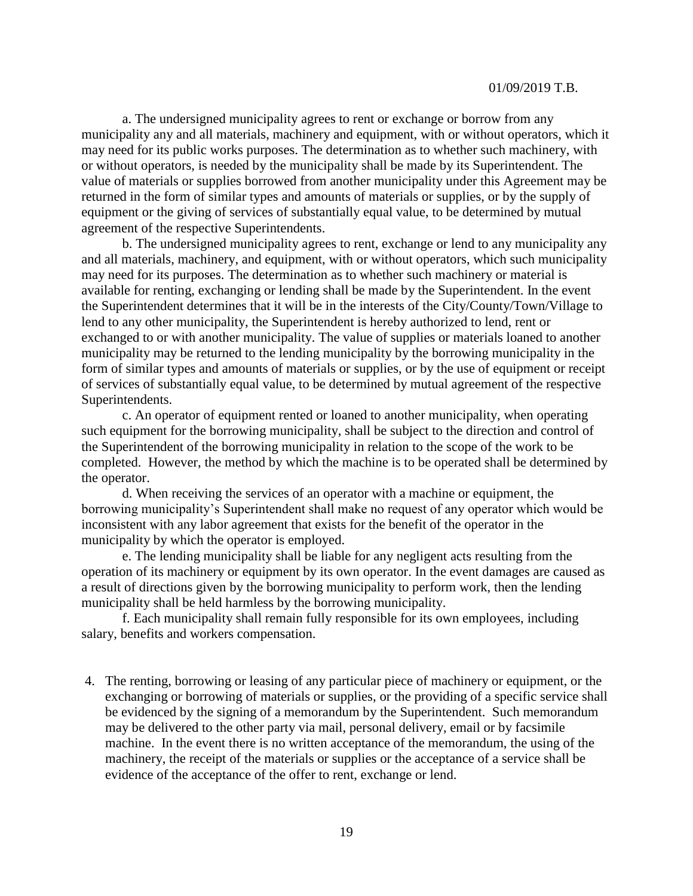a. The undersigned municipality agrees to rent or exchange or borrow from any municipality any and all materials, machinery and equipment, with or without operators, which it may need for its public works purposes. The determination as to whether such machinery, with or without operators, is needed by the municipality shall be made by its Superintendent. The value of materials or supplies borrowed from another municipality under this Agreement may be returned in the form of similar types and amounts of materials or supplies, or by the supply of equipment or the giving of services of substantially equal value, to be determined by mutual agreement of the respective Superintendents.

b. The undersigned municipality agrees to rent, exchange or lend to any municipality any and all materials, machinery, and equipment, with or without operators, which such municipality may need for its purposes. The determination as to whether such machinery or material is available for renting, exchanging or lending shall be made by the Superintendent. In the event the Superintendent determines that it will be in the interests of the City/County/Town/Village to lend to any other municipality, the Superintendent is hereby authorized to lend, rent or exchanged to or with another municipality. The value of supplies or materials loaned to another municipality may be returned to the lending municipality by the borrowing municipality in the form of similar types and amounts of materials or supplies, or by the use of equipment or receipt of services of substantially equal value, to be determined by mutual agreement of the respective Superintendents.

c. An operator of equipment rented or loaned to another municipality, when operating such equipment for the borrowing municipality, shall be subject to the direction and control of the Superintendent of the borrowing municipality in relation to the scope of the work to be completed. However, the method by which the machine is to be operated shall be determined by the operator.

d. When receiving the services of an operator with a machine or equipment, the borrowing municipality's Superintendent shall make no request of any operator which would be inconsistent with any labor agreement that exists for the benefit of the operator in the municipality by which the operator is employed.

e. The lending municipality shall be liable for any negligent acts resulting from the operation of its machinery or equipment by its own operator. In the event damages are caused as a result of directions given by the borrowing municipality to perform work, then the lending municipality shall be held harmless by the borrowing municipality.

f. Each municipality shall remain fully responsible for its own employees, including salary, benefits and workers compensation.

4. The renting, borrowing or leasing of any particular piece of machinery or equipment, or the exchanging or borrowing of materials or supplies, or the providing of a specific service shall be evidenced by the signing of a memorandum by the Superintendent. Such memorandum may be delivered to the other party via mail, personal delivery, email or by facsimile machine. In the event there is no written acceptance of the memorandum, the using of the machinery, the receipt of the materials or supplies or the acceptance of a service shall be evidence of the acceptance of the offer to rent, exchange or lend.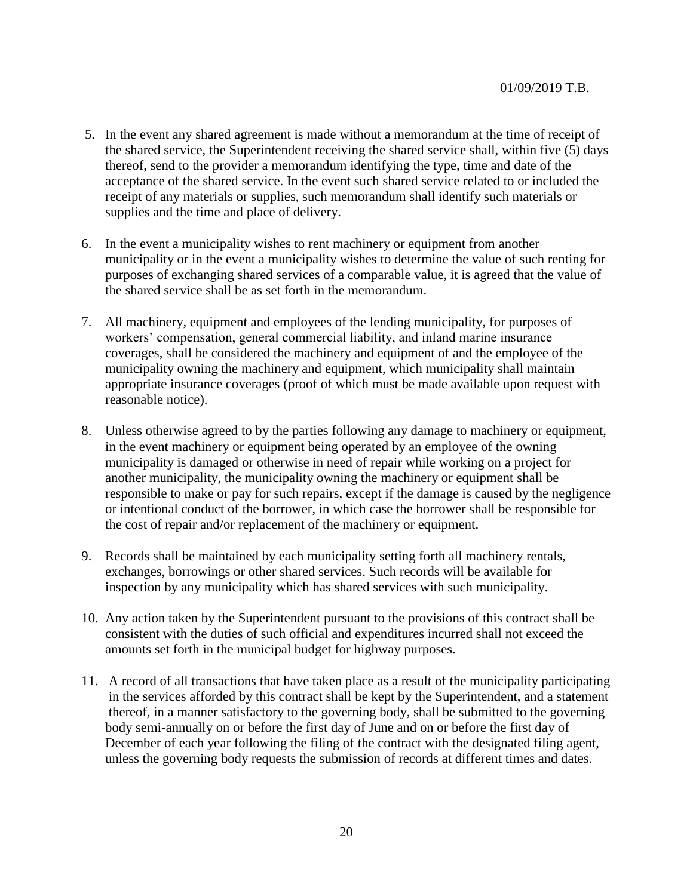- 5. In the event any shared agreement is made without a memorandum at the time of receipt of the shared service, the Superintendent receiving the shared service shall, within five (5) days thereof, send to the provider a memorandum identifying the type, time and date of the acceptance of the shared service. In the event such shared service related to or included the receipt of any materials or supplies, such memorandum shall identify such materials or supplies and the time and place of delivery.
- 6. In the event a municipality wishes to rent machinery or equipment from another municipality or in the event a municipality wishes to determine the value of such renting for purposes of exchanging shared services of a comparable value, it is agreed that the value of the shared service shall be as set forth in the memorandum.
- 7. All machinery, equipment and employees of the lending municipality, for purposes of workers' compensation, general commercial liability, and inland marine insurance coverages, shall be considered the machinery and equipment of and the employee of the municipality owning the machinery and equipment, which municipality shall maintain appropriate insurance coverages (proof of which must be made available upon request with reasonable notice).
- 8. Unless otherwise agreed to by the parties following any damage to machinery or equipment, in the event machinery or equipment being operated by an employee of the owning municipality is damaged or otherwise in need of repair while working on a project for another municipality, the municipality owning the machinery or equipment shall be responsible to make or pay for such repairs, except if the damage is caused by the negligence or intentional conduct of the borrower, in which case the borrower shall be responsible for the cost of repair and/or replacement of the machinery or equipment.
- 9. Records shall be maintained by each municipality setting forth all machinery rentals, exchanges, borrowings or other shared services. Such records will be available for inspection by any municipality which has shared services with such municipality.
- 10. Any action taken by the Superintendent pursuant to the provisions of this contract shall be consistent with the duties of such official and expenditures incurred shall not exceed the amounts set forth in the municipal budget for highway purposes.
- 11. A record of all transactions that have taken place as a result of the municipality participating in the services afforded by this contract shall be kept by the Superintendent, and a statement thereof, in a manner satisfactory to the governing body, shall be submitted to the governing body semi-annually on or before the first day of June and on or before the first day of December of each year following the filing of the contract with the designated filing agent, unless the governing body requests the submission of records at different times and dates.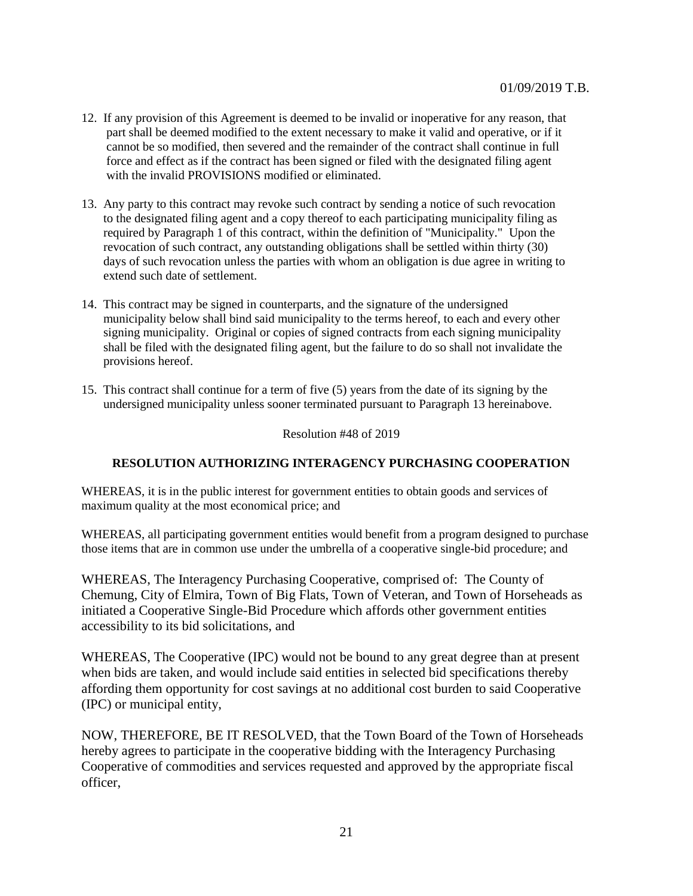- 12. If any provision of this Agreement is deemed to be invalid or inoperative for any reason, that part shall be deemed modified to the extent necessary to make it valid and operative, or if it cannot be so modified, then severed and the remainder of the contract shall continue in full force and effect as if the contract has been signed or filed with the designated filing agent with the invalid PROVISIONS modified or eliminated.
- 13. Any party to this contract may revoke such contract by sending a notice of such revocation to the designated filing agent and a copy thereof to each participating municipality filing as required by Paragraph 1 of this contract, within the definition of "Municipality." Upon the revocation of such contract, any outstanding obligations shall be settled within thirty (30) days of such revocation unless the parties with whom an obligation is due agree in writing to extend such date of settlement.
- 14. This contract may be signed in counterparts, and the signature of the undersigned municipality below shall bind said municipality to the terms hereof, to each and every other signing municipality. Original or copies of signed contracts from each signing municipality shall be filed with the designated filing agent, but the failure to do so shall not invalidate the provisions hereof.
- 15. This contract shall continue for a term of five (5) years from the date of its signing by the undersigned municipality unless sooner terminated pursuant to Paragraph 13 hereinabove.

Resolution #48 of 2019

# **RESOLUTION AUTHORIZING INTERAGENCY PURCHASING COOPERATION**

WHEREAS, it is in the public interest for government entities to obtain goods and services of maximum quality at the most economical price; and

WHEREAS, all participating government entities would benefit from a program designed to purchase those items that are in common use under the umbrella of a cooperative single-bid procedure; and

WHEREAS, The Interagency Purchasing Cooperative, comprised of: The County of Chemung, City of Elmira, Town of Big Flats, Town of Veteran, and Town of Horseheads as initiated a Cooperative Single-Bid Procedure which affords other government entities accessibility to its bid solicitations, and

WHEREAS, The Cooperative (IPC) would not be bound to any great degree than at present when bids are taken, and would include said entities in selected bid specifications thereby affording them opportunity for cost savings at no additional cost burden to said Cooperative (IPC) or municipal entity,

NOW, THEREFORE, BE IT RESOLVED, that the Town Board of the Town of Horseheads hereby agrees to participate in the cooperative bidding with the Interagency Purchasing Cooperative of commodities and services requested and approved by the appropriate fiscal officer,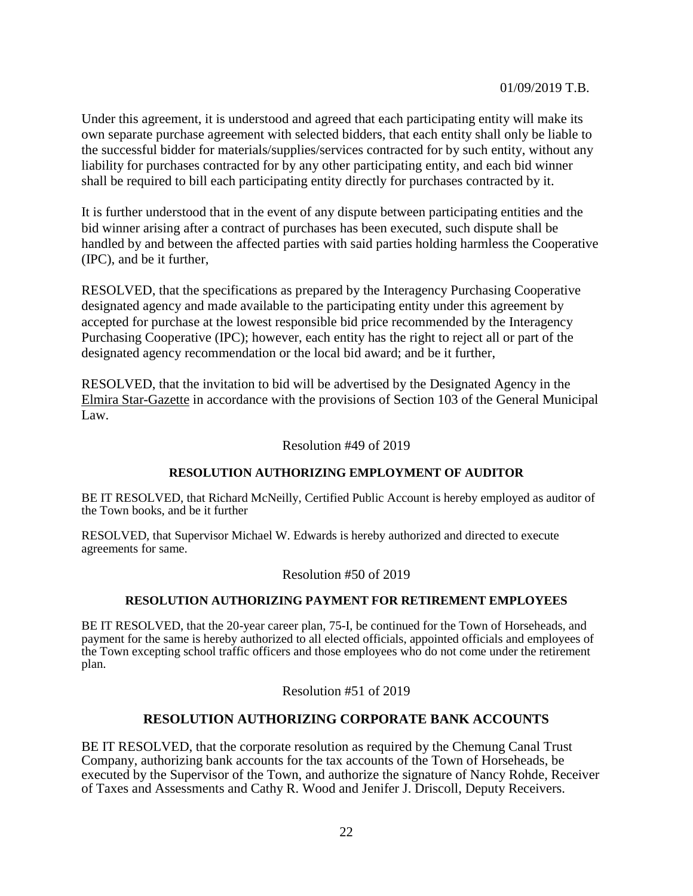Under this agreement, it is understood and agreed that each participating entity will make its own separate purchase agreement with selected bidders, that each entity shall only be liable to the successful bidder for materials/supplies/services contracted for by such entity, without any liability for purchases contracted for by any other participating entity, and each bid winner shall be required to bill each participating entity directly for purchases contracted by it.

It is further understood that in the event of any dispute between participating entities and the bid winner arising after a contract of purchases has been executed, such dispute shall be handled by and between the affected parties with said parties holding harmless the Cooperative (IPC), and be it further,

RESOLVED, that the specifications as prepared by the Interagency Purchasing Cooperative designated agency and made available to the participating entity under this agreement by accepted for purchase at the lowest responsible bid price recommended by the Interagency Purchasing Cooperative (IPC); however, each entity has the right to reject all or part of the designated agency recommendation or the local bid award; and be it further,

RESOLVED, that the invitation to bid will be advertised by the Designated Agency in the Elmira Star-Gazette in accordance with the provisions of Section 103 of the General Municipal Law.

Resolution #49 of 2019

# **RESOLUTION AUTHORIZING EMPLOYMENT OF AUDITOR**

BE IT RESOLVED, that Richard McNeilly, Certified Public Account is hereby employed as auditor of the Town books, and be it further

RESOLVED, that Supervisor Michael W. Edwards is hereby authorized and directed to execute agreements for same.

## Resolution #50 of 2019

# **RESOLUTION AUTHORIZING PAYMENT FOR RETIREMENT EMPLOYEES**

BE IT RESOLVED, that the 20-year career plan, 75-I, be continued for the Town of Horseheads, and payment for the same is hereby authorized to all elected officials, appointed officials and employees of the Town excepting school traffic officers and those employees who do not come under the retirement plan.

Resolution #51 of 2019

# **RESOLUTION AUTHORIZING CORPORATE BANK ACCOUNTS**

BE IT RESOLVED, that the corporate resolution as required by the Chemung Canal Trust Company, authorizing bank accounts for the tax accounts of the Town of Horseheads, be executed by the Supervisor of the Town, and authorize the signature of Nancy Rohde, Receiver of Taxes and Assessments and Cathy R. Wood and Jenifer J. Driscoll, Deputy Receivers.